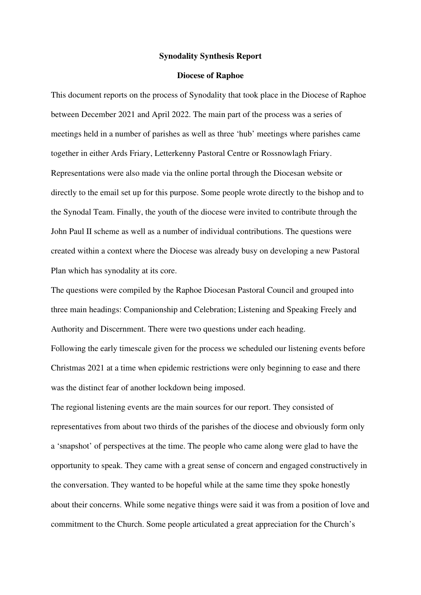### **Synodality Synthesis Report**

## **Diocese of Raphoe**

This document reports on the process of Synodality that took place in the Diocese of Raphoe between December 2021 and April 2022. The main part of the process was a series of meetings held in a number of parishes as well as three 'hub' meetings where parishes came together in either Ards Friary, Letterkenny Pastoral Centre or Rossnowlagh Friary. Representations were also made via the online portal through the Diocesan website or directly to the email set up for this purpose. Some people wrote directly to the bishop and to the Synodal Team. Finally, the youth of the diocese were invited to contribute through the John Paul II scheme as well as a number of individual contributions. The questions were created within a context where the Diocese was already busy on developing a new Pastoral Plan which has synodality at its core.

The questions were compiled by the Raphoe Diocesan Pastoral Council and grouped into three main headings: Companionship and Celebration; Listening and Speaking Freely and Authority and Discernment. There were two questions under each heading.

Following the early timescale given for the process we scheduled our listening events before Christmas 2021 at a time when epidemic restrictions were only beginning to ease and there was the distinct fear of another lockdown being imposed.

The regional listening events are the main sources for our report. They consisted of representatives from about two thirds of the parishes of the diocese and obviously form only a 'snapshot' of perspectives at the time. The people who came along were glad to have the opportunity to speak. They came with a great sense of concern and engaged constructively in the conversation. They wanted to be hopeful while at the same time they spoke honestly about their concerns. While some negative things were said it was from a position of love and commitment to the Church. Some people articulated a great appreciation for the Church's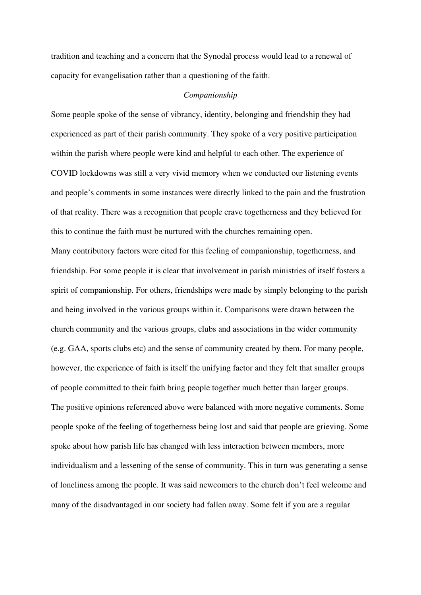tradition and teaching and a concern that the Synodal process would lead to a renewal of capacity for evangelisation rather than a questioning of the faith.

## *Companionship*

Some people spoke of the sense of vibrancy, identity, belonging and friendship they had experienced as part of their parish community. They spoke of a very positive participation within the parish where people were kind and helpful to each other. The experience of COVID lockdowns was still a very vivid memory when we conducted our listening events and people's comments in some instances were directly linked to the pain and the frustration of that reality. There was a recognition that people crave togetherness and they believed for this to continue the faith must be nurtured with the churches remaining open.

Many contributory factors were cited for this feeling of companionship, togetherness, and friendship. For some people it is clear that involvement in parish ministries of itself fosters a spirit of companionship. For others, friendships were made by simply belonging to the parish and being involved in the various groups within it. Comparisons were drawn between the church community and the various groups, clubs and associations in the wider community (e.g. GAA, sports clubs etc) and the sense of community created by them. For many people, however, the experience of faith is itself the unifying factor and they felt that smaller groups of people committed to their faith bring people together much better than larger groups. The positive opinions referenced above were balanced with more negative comments. Some people spoke of the feeling of togetherness being lost and said that people are grieving. Some spoke about how parish life has changed with less interaction between members, more individualism and a lessening of the sense of community. This in turn was generating a sense of loneliness among the people. It was said newcomers to the church don't feel welcome and many of the disadvantaged in our society had fallen away. Some felt if you are a regular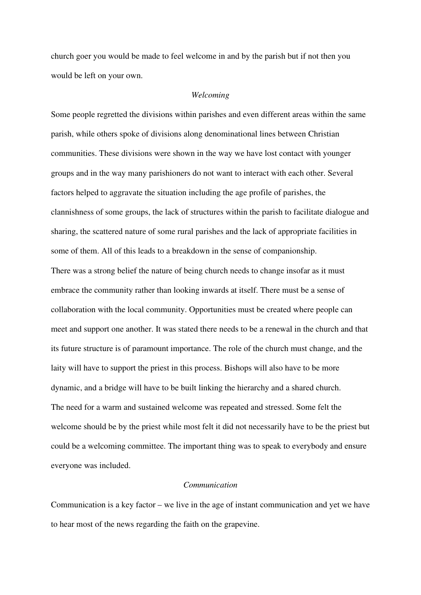church goer you would be made to feel welcome in and by the parish but if not then you would be left on your own.

### *Welcoming*

Some people regretted the divisions within parishes and even different areas within the same parish, while others spoke of divisions along denominational lines between Christian communities. These divisions were shown in the way we have lost contact with younger groups and in the way many parishioners do not want to interact with each other. Several factors helped to aggravate the situation including the age profile of parishes, the clannishness of some groups, the lack of structures within the parish to facilitate dialogue and sharing, the scattered nature of some rural parishes and the lack of appropriate facilities in some of them. All of this leads to a breakdown in the sense of companionship. There was a strong belief the nature of being church needs to change insofar as it must embrace the community rather than looking inwards at itself. There must be a sense of collaboration with the local community. Opportunities must be created where people can meet and support one another. It was stated there needs to be a renewal in the church and that its future structure is of paramount importance. The role of the church must change, and the laity will have to support the priest in this process. Bishops will also have to be more dynamic, and a bridge will have to be built linking the hierarchy and a shared church. The need for a warm and sustained welcome was repeated and stressed. Some felt the welcome should be by the priest while most felt it did not necessarily have to be the priest but could be a welcoming committee. The important thing was to speak to everybody and ensure everyone was included.

# *Communication*

Communication is a key factor – we live in the age of instant communication and yet we have to hear most of the news regarding the faith on the grapevine.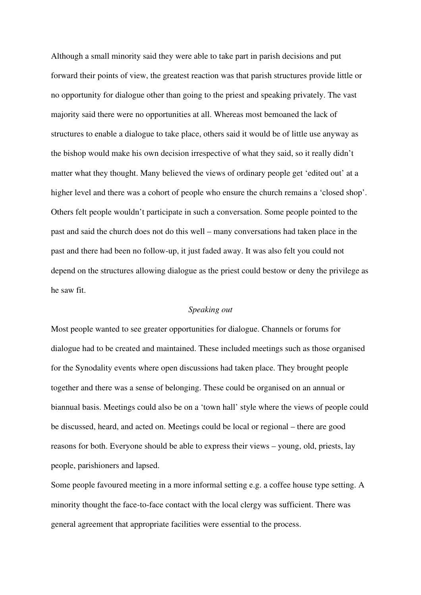Although a small minority said they were able to take part in parish decisions and put forward their points of view, the greatest reaction was that parish structures provide little or no opportunity for dialogue other than going to the priest and speaking privately. The vast majority said there were no opportunities at all. Whereas most bemoaned the lack of structures to enable a dialogue to take place, others said it would be of little use anyway as the bishop would make his own decision irrespective of what they said, so it really didn't matter what they thought. Many believed the views of ordinary people get 'edited out' at a higher level and there was a cohort of people who ensure the church remains a 'closed shop'. Others felt people wouldn't participate in such a conversation. Some people pointed to the past and said the church does not do this well – many conversations had taken place in the past and there had been no follow-up, it just faded away. It was also felt you could not depend on the structures allowing dialogue as the priest could bestow or deny the privilege as he saw fit.

## *Speaking out*

Most people wanted to see greater opportunities for dialogue. Channels or forums for dialogue had to be created and maintained. These included meetings such as those organised for the Synodality events where open discussions had taken place. They brought people together and there was a sense of belonging. These could be organised on an annual or biannual basis. Meetings could also be on a 'town hall' style where the views of people could be discussed, heard, and acted on. Meetings could be local or regional – there are good reasons for both. Everyone should be able to express their views – young, old, priests, lay people, parishioners and lapsed.

Some people favoured meeting in a more informal setting e.g. a coffee house type setting. A minority thought the face-to-face contact with the local clergy was sufficient. There was general agreement that appropriate facilities were essential to the process.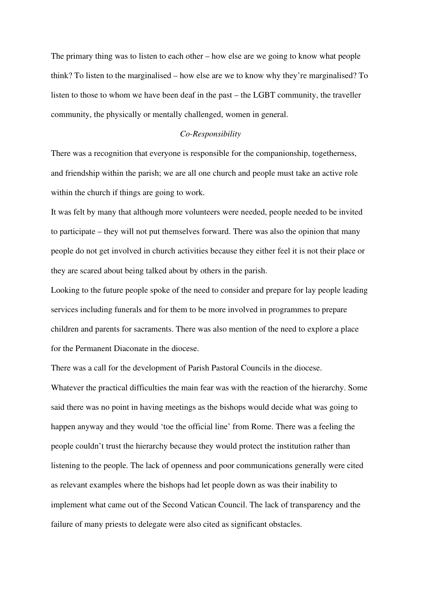The primary thing was to listen to each other – how else are we going to know what people think? To listen to the marginalised – how else are we to know why they're marginalised? To listen to those to whom we have been deaf in the past – the LGBT community, the traveller community, the physically or mentally challenged, women in general.

## *Co-Responsibility*

There was a recognition that everyone is responsible for the companionship, togetherness, and friendship within the parish; we are all one church and people must take an active role within the church if things are going to work.

It was felt by many that although more volunteers were needed, people needed to be invited to participate – they will not put themselves forward. There was also the opinion that many people do not get involved in church activities because they either feel it is not their place or they are scared about being talked about by others in the parish.

Looking to the future people spoke of the need to consider and prepare for lay people leading services including funerals and for them to be more involved in programmes to prepare children and parents for sacraments. There was also mention of the need to explore a place for the Permanent Diaconate in the diocese.

There was a call for the development of Parish Pastoral Councils in the diocese.

Whatever the practical difficulties the main fear was with the reaction of the hierarchy. Some said there was no point in having meetings as the bishops would decide what was going to happen anyway and they would 'toe the official line' from Rome. There was a feeling the people couldn't trust the hierarchy because they would protect the institution rather than listening to the people. The lack of openness and poor communications generally were cited as relevant examples where the bishops had let people down as was their inability to implement what came out of the Second Vatican Council. The lack of transparency and the failure of many priests to delegate were also cited as significant obstacles.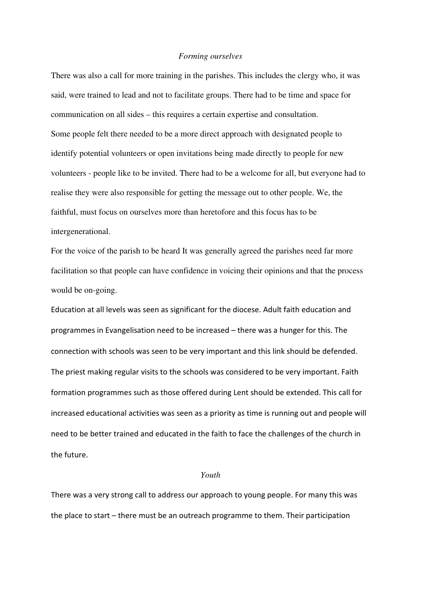### *Forming ourselves*

There was also a call for more training in the parishes. This includes the clergy who, it was said, were trained to lead and not to facilitate groups. There had to be time and space for communication on all sides – this requires a certain expertise and consultation. Some people felt there needed to be a more direct approach with designated people to identify potential volunteers or open invitations being made directly to people for new volunteers - people like to be invited. There had to be a welcome for all, but everyone had to realise they were also responsible for getting the message out to other people. We, the faithful, must focus on ourselves more than heretofore and this focus has to be intergenerational.

For the voice of the parish to be heard It was generally agreed the parishes need far more facilitation so that people can have confidence in voicing their opinions and that the process would be on-going.

Education at all levels was seen as significant for the diocese. Adult faith education and programmes in Evangelisation need to be increased – there was a hunger for this. The connection with schools was seen to be very important and this link should be defended. The priest making regular visits to the schools was considered to be very important. Faith formation programmes such as those offered during Lent should be extended. This call for increased educational activities was seen as a priority as time is running out and people will need to be better trained and educated in the faith to face the challenges of the church in the future.

# *Youth*

There was a very strong call to address our approach to young people. For many this was the place to start – there must be an outreach programme to them. Their participation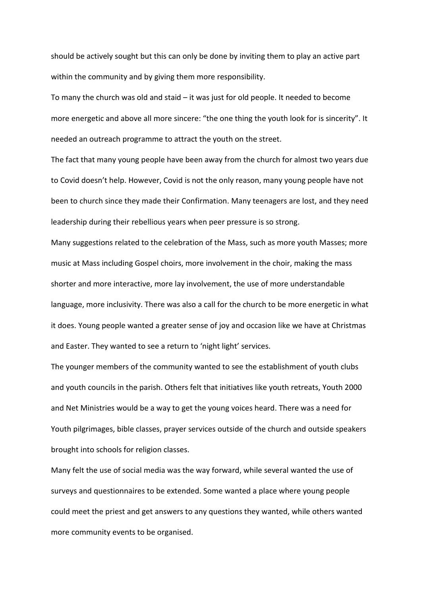should be actively sought but this can only be done by inviting them to play an active part within the community and by giving them more responsibility.

To many the church was old and staid – it was just for old people. It needed to become more energetic and above all more sincere: "the one thing the youth look for is sincerity". It needed an outreach programme to attract the youth on the street.

The fact that many young people have been away from the church for almost two years due to Covid doesn't help. However, Covid is not the only reason, many young people have not been to church since they made their Confirmation. Many teenagers are lost, and they need leadership during their rebellious years when peer pressure is so strong.

Many suggestions related to the celebration of the Mass, such as more youth Masses; more music at Mass including Gospel choirs, more involvement in the choir, making the mass shorter and more interactive, more lay involvement, the use of more understandable language, more inclusivity. There was also a call for the church to be more energetic in what it does. Young people wanted a greater sense of joy and occasion like we have at Christmas and Easter. They wanted to see a return to 'night light' services.

The younger members of the community wanted to see the establishment of youth clubs and youth councils in the parish. Others felt that initiatives like youth retreats, Youth 2000 and Net Ministries would be a way to get the young voices heard. There was a need for Youth pilgrimages, bible classes, prayer services outside of the church and outside speakers brought into schools for religion classes.

Many felt the use of social media was the way forward, while several wanted the use of surveys and questionnaires to be extended. Some wanted a place where young people could meet the priest and get answers to any questions they wanted, while others wanted more community events to be organised.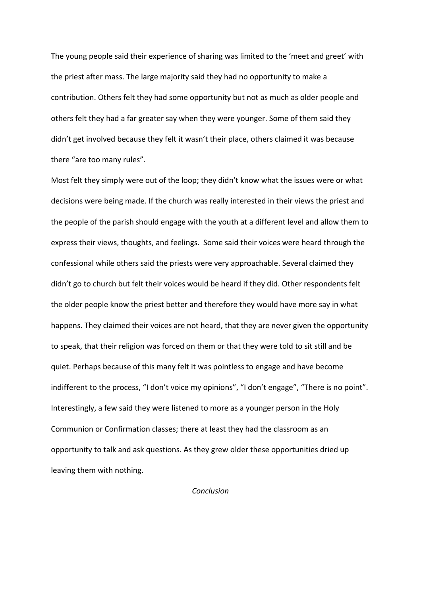The young people said their experience of sharing was limited to the 'meet and greet' with the priest after mass. The large majority said they had no opportunity to make a contribution. Others felt they had some opportunity but not as much as older people and others felt they had a far greater say when they were younger. Some of them said they didn't get involved because they felt it wasn't their place, others claimed it was because there "are too many rules".

Most felt they simply were out of the loop; they didn't know what the issues were or what decisions were being made. If the church was really interested in their views the priest and the people of the parish should engage with the youth at a different level and allow them to express their views, thoughts, and feelings. Some said their voices were heard through the confessional while others said the priests were very approachable. Several claimed they didn't go to church but felt their voices would be heard if they did. Other respondents felt the older people know the priest better and therefore they would have more say in what happens. They claimed their voices are not heard, that they are never given the opportunity to speak, that their religion was forced on them or that they were told to sit still and be quiet. Perhaps because of this many felt it was pointless to engage and have become indifferent to the process, "I don't voice my opinions", "I don't engage", "There is no point". Interestingly, a few said they were listened to more as a younger person in the Holy Communion or Confirmation classes; there at least they had the classroom as an opportunity to talk and ask questions. As they grew older these opportunities dried up leaving them with nothing.

Conclusion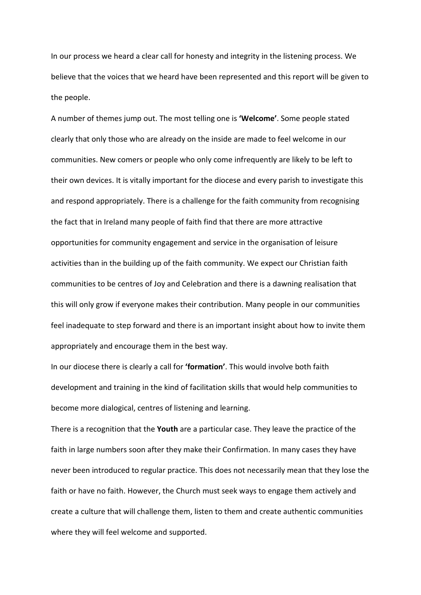In our process we heard a clear call for honesty and integrity in the listening process. We believe that the voices that we heard have been represented and this report will be given to the people.

A number of themes jump out. The most telling one is 'Welcome'. Some people stated clearly that only those who are already on the inside are made to feel welcome in our communities. New comers or people who only come infrequently are likely to be left to their own devices. It is vitally important for the diocese and every parish to investigate this and respond appropriately. There is a challenge for the faith community from recognising the fact that in Ireland many people of faith find that there are more attractive opportunities for community engagement and service in the organisation of leisure activities than in the building up of the faith community. We expect our Christian faith communities to be centres of Joy and Celebration and there is a dawning realisation that this will only grow if everyone makes their contribution. Many people in our communities feel inadequate to step forward and there is an important insight about how to invite them appropriately and encourage them in the best way.

In our diocese there is clearly a call for 'formation'. This would involve both faith development and training in the kind of facilitation skills that would help communities to become more dialogical, centres of listening and learning.

There is a recognition that the Youth are a particular case. They leave the practice of the faith in large numbers soon after they make their Confirmation. In many cases they have never been introduced to regular practice. This does not necessarily mean that they lose the faith or have no faith. However, the Church must seek ways to engage them actively and create a culture that will challenge them, listen to them and create authentic communities where they will feel welcome and supported.